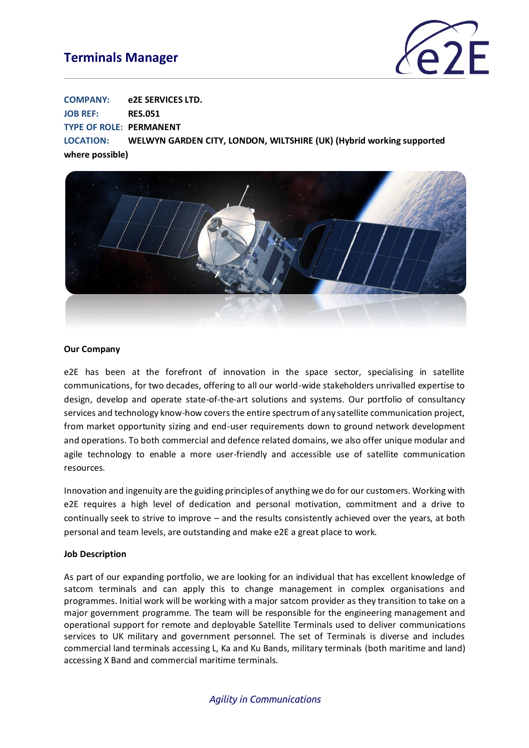## **Terminals Manager**



**COMPANY: e2E SERVICES LTD. JOB REF: RES.051**

**TYPE OF ROLE: PERMANENT**

**LOCATION: WELWYN GARDEN CITY, LONDON, WILTSHIRE (UK) (Hybrid working supported where possible)**



#### **Our Company**

e2E has been at the forefront of innovation in the space sector, specialising in satellite communications, for two decades, offering to all our world-wide stakeholders unrivalled expertise to design, develop and operate state-of-the-art solutions and systems. Our portfolio of consultancy services and technology know-how covers the entire spectrum of any satellite communication project, from market opportunity sizing and end-user requirements down to ground network development and operations. To both commercial and defence related domains, we also offer unique modular and agile technology to enable a more user-friendly and accessible use of satellite communication resources.

Innovation and ingenuity are the guiding principles of anything we do for our customers. Working with e2E requires a high level of dedication and personal motivation, commitment and a drive to continually seek to strive to improve – and the results consistently achieved over the years, at both personal and team levels, are outstanding and make e2E a great place to work.

#### **Job Description**

As part of our expanding portfolio, we are looking for an individual that has excellent knowledge of satcom terminals and can apply this to change management in complex organisations and programmes. Initial work will be working with a major satcom provider as they transition to take on a major government programme. The team will be responsible for the engineering management and operational support for remote and deployable Satellite Terminals used to deliver communications services to UK military and government personnel. The set of Terminals is diverse and includes commercial land terminals accessing L, Ka and Ku Bands, military terminals (both maritime and land) accessing X Band and commercial maritime terminals.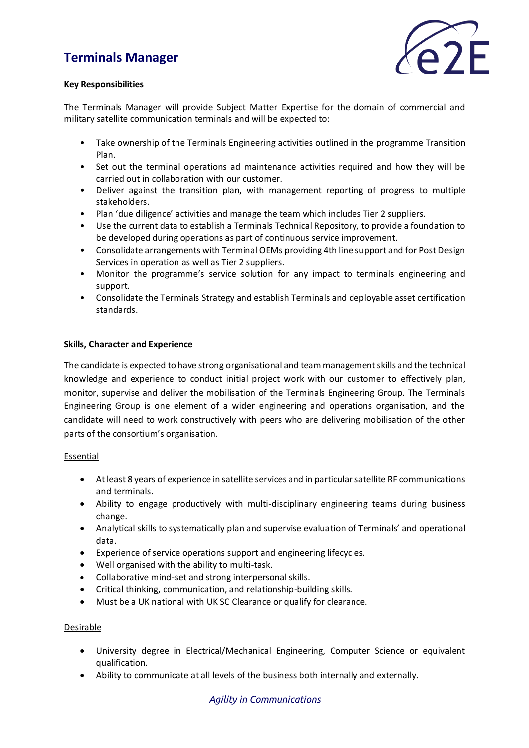# **Terminals Manager**



#### **Key Responsibilities**

The Terminals Manager will provide Subject Matter Expertise for the domain of commercial and military satellite communication terminals and will be expected to:

- Take ownership of the Terminals Engineering activities outlined in the programme Transition Plan.
- Set out the terminal operations ad maintenance activities required and how they will be carried out in collaboration with our customer.
- Deliver against the transition plan, with management reporting of progress to multiple stakeholders.
- Plan 'due diligence' activities and manage the team which includes Tier 2 suppliers.
- Use the current data to establish a Terminals Technical Repository, to provide a foundation to be developed during operations as part of continuous service improvement.
- Consolidate arrangements with Terminal OEMs providing 4th line support and for Post Design Services in operation as well as Tier 2 suppliers.
- Monitor the programme's service solution for any impact to terminals engineering and support.
- Consolidate the Terminals Strategy and establish Terminals and deployable asset certification standards.

#### **Skills, Character and Experience**

The candidate is expected to have strong organisational and team management skills and the technical knowledge and experience to conduct initial project work with our customer to effectively plan, monitor, supervise and deliver the mobilisation of the Terminals Engineering Group. The Terminals Engineering Group is one element of a wider engineering and operations organisation, and the candidate will need to work constructively with peers who are delivering mobilisation of the other parts of the consortium's organisation.

#### Essential

- At least 8 years of experience in satellite services and in particular satellite RF communications and terminals.
- Ability to engage productively with multi-disciplinary engineering teams during business change.
- Analytical skills to systematically plan and supervise evaluation of Terminals' and operational data.
- Experience of service operations support and engineering lifecycles.
- Well organised with the ability to multi-task.
- Collaborative mind-set and strong interpersonal skills.
- Critical thinking, communication, and relationship-building skills.
- Must be a UK national with UK SC Clearance or qualify for clearance.

#### Desirable

- University degree in Electrical/Mechanical Engineering, Computer Science or equivalent qualification.
- Ability to communicate at all levels of the business both internally and externally.